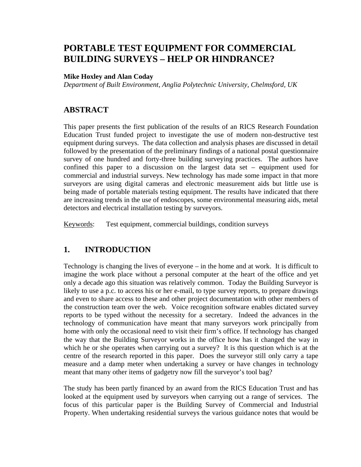# **PORTABLE TEST EQUIPMENT FOR COMMERCIAL BUILDING SURVEYS – HELP OR HINDRANCE?**

#### **Mike Hoxley and Alan Coday**

*Department of Built Environment, Anglia Polytechnic University, Chelmsford, UK* 

## **ABSTRACT**

This paper presents the first publication of the results of an RICS Research Foundation Education Trust funded project to investigate the use of modern non-destructive test equipment during surveys. The data collection and analysis phases are discussed in detail followed by the presentation of the preliminary findings of a national postal questionnaire survey of one hundred and forty-three building surveying practices. The authors have confined this paper to a discussion on the largest data set – equipment used for commercial and industrial surveys. New technology has made some impact in that more surveyors are using digital cameras and electronic measurement aids but little use is being made of portable materials testing equipment. The results have indicated that there are increasing trends in the use of endoscopes, some environmental measuring aids, metal detectors and electrical installation testing by surveyors.

Keywords: Test equipment, commercial buildings, condition surveys

## **1. INTRODUCTION**

Technology is changing the lives of everyone – in the home and at work. It is difficult to imagine the work place without a personal computer at the heart of the office and yet only a decade ago this situation was relatively common. Today the Building Surveyor is likely to use a p.c. to access his or her e-mail, to type survey reports, to prepare drawings and even to share access to these and other project documentation with other members of the construction team over the web. Voice recognition software enables dictated survey reports to be typed without the necessity for a secretary. Indeed the advances in the technology of communication have meant that many surveyors work principally from home with only the occasional need to visit their firm's office. If technology has changed the way that the Building Surveyor works in the office how has it changed the way in which he or she operates when carrying out a survey? It is this question which is at the centre of the research reported in this paper. Does the surveyor still only carry a tape measure and a damp meter when undertaking a survey or have changes in technology meant that many other items of gadgetry now fill the surveyor's tool bag?

The study has been partly financed by an award from the RICS Education Trust and has looked at the equipment used by surveyors when carrying out a range of services. The focus of this particular paper is the Building Survey of Commercial and Industrial Property. When undertaking residential surveys the various guidance notes that would be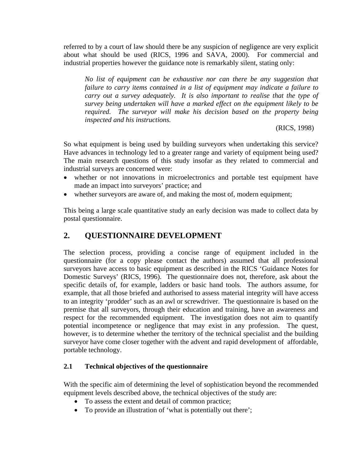referred to by a court of law should there be any suspicion of negligence are very explicit about what should be used (RICS, 1996 and SAVA, 2000). For commercial and industrial properties however the guidance note is remarkably silent, stating only:

*No list of equipment can be exhaustive nor can there be any suggestion that failure to carry items contained in a list of equipment may indicate a failure to carry out a survey adequately. It is also important to realise that the type of survey being undertaken will have a marked effect on the equipment likely to be required. The surveyor will make his decision based on the property being inspected and his instructions.* 

(RICS, 1998)

So what equipment is being used by building surveyors when undertaking this service? Have advances in technology led to a greater range and variety of equipment being used? The main research questions of this study insofar as they related to commercial and industrial surveys are concerned were:

- whether or not innovations in microelectronics and portable test equipment have made an impact into surveyors' practice; and
- whether surveyors are aware of, and making the most of, modern equipment;

This being a large scale quantitative study an early decision was made to collect data by postal questionnaire.

# **2. QUESTIONNAIRE DEVELOPMENT**

The selection process, providing a concise range of equipment included in the questionnaire (for a copy please contact the authors) assumed that all professional surveyors have access to basic equipment as described in the RICS 'Guidance Notes for Domestic Surveys' (RICS, 1996). The questionnaire does not, therefore, ask about the specific details of, for example, ladders or basic hand tools. The authors assume, for example, that all those briefed and authorised to assess material integrity will have access to an integrity 'prodder' such as an awl or screwdriver. The questionnaire is based on the premise that all surveyors, through their education and training, have an awareness and respect for the recommended equipment. The investigation does not aim to quantify potential incompetence or negligence that may exist in any profession. The quest, however, is to determine whether the territory of the technical specialist and the building surveyor have come closer together with the advent and rapid development of affordable, portable technology.

#### **2.1 Technical objectives of the questionnaire**

With the specific aim of determining the level of sophistication beyond the recommended equipment levels described above, the technical objectives of the study are:

- To assess the extent and detail of common practice;
- To provide an illustration of 'what is potentially out there';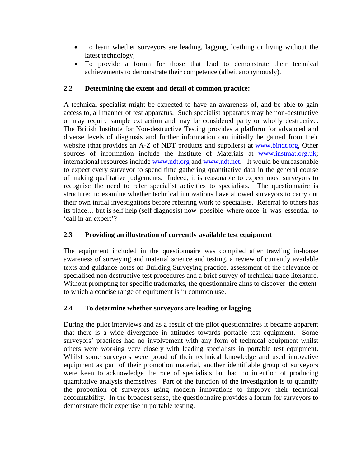- To learn whether surveyors are leading, lagging, loathing or living without the latest technology;
- To provide a forum for those that lead to demonstrate their technical achievements to demonstrate their competence (albeit anonymously).

#### **2.2 Determining the extent and detail of common practice:**

A technical specialist might be expected to have an awareness of, and be able to gain access to, all manner of test apparatus. Such specialist apparatus may be non-destructive or may require sample extraction and may be considered party or wholly destructive. The British Institute for Non-destructive Testing provides a platform for advanced and diverse levels of diagnosis and further information can initially be gained from their website (that provides an A-Z of NDT products and suppliers) at [www.bindt.org,](http://www.bindt.org/) Other sources of information include the Institute of Materials at [www.instmat.org.uk;](http://www.instmat.org.uk/) international resources include [www.ndt.org](http://www.ndt.org/) and [www.ndt.net](http://www.ndt.net/). It would be unreasonable to expect every surveyor to spend time gathering quantitative data in the general course of making qualitative judgements. Indeed, it is reasonable to expect most surveyors to recognise the need to refer specialist activities to specialists. The questionnaire is structured to examine whether technical innovations have allowed surveyors to carry out their own initial investigations before referring work to specialists. Referral to others has its place… but is self help (self diagnosis) now possible where once it was essential to 'call in an expert'?

#### **2.3 Providing an illustration of currently available test equipment**

The equipment included in the questionnaire was compiled after trawling in-house awareness of surveying and material science and testing, a review of currently available texts and guidance notes on Building Surveying practice, assessment of the relevance of specialised non destructive test procedures and a brief survey of technical trade literature. Without prompting for specific trademarks, the questionnaire aims to discover the extent to which a concise range of equipment is in common use.

#### **2.4 To determine whether surveyors are leading or lagging**

During the pilot interviews and as a result of the pilot questionnaires it became apparent that there is a wide divergence in attitudes towards portable test equipment. Some surveyors' practices had no involvement with any form of technical equipment whilst others were working very closely with leading specialists in portable test equipment. Whilst some surveyors were proud of their technical knowledge and used innovative equipment as part of their promotion material, another identifiable group of surveyors were keen to acknowledge the role of specialists but had no intention of producing quantitative analysis themselves. Part of the function of the investigation is to quantify the proportion of surveyors using modern innovations to improve their technical accountability. In the broadest sense, the questionnaire provides a forum for surveyors to demonstrate their expertise in portable testing.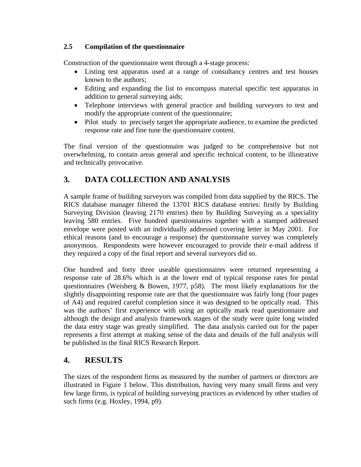#### **2.5 Compilation of the questionnaire**

Construction of the questionnaire went through a 4-stage process:

- Listing test apparatus used at a range of consultancy centres and test houses known to the authors;
- Editing and expanding the list to encompass material specific test apparatus in addition to general surveying aids;
- Telephone interviews with general practice and building surveyors to test and modify the appropriate content of the questionnaire;
- Pilot study to precisely target the appropriate audience, to examine the predicted response rate and fine tune the questionnaire content.

The final version of the questionnaire was judged to be comprehensive but not overwhelming, to contain areas general and specific technical content, to be illustrative and technically provocative.

# **3. DATA COLLECTION AND ANALYSIS**

A sample frame of building surveyors was compiled from data supplied by the RICS. The RICS database manager filtered the 13701 RICS database entries: firstly by Building Surveying Division (leaving 2170 entries) then by Building Surveying as a speciality leaving 580 entries. Five hundred questionnaires together with a stamped addressed envelope were posted with an individually addressed covering letter in May 2001. For ethical reasons (and to encourage a response) the questionnaire survey was completely anonymous. Respondents were however encouraged to provide their e-mail address if they required a copy of the final report and several surveyors did so.

One hundred and forty three useable questionnaires were returned representing a response rate of 28.6% which is at the lower end of typical response rates for postal questionnaires (Weisberg & Bowen, 1977, p58). The most likely explanations for the slightly disappointing response rate are that the questionnaire was fairly long (four pages of A4) and required careful completion since it was designed to be optically read. This was the authors' first experience with using an optically mark read questionnaire and although the design and analysis framework stages of the study were quite long winded the data entry stage was greatly simplified. The data analysis carried out for the paper represents a first attempt at making sense of the data and details of the full analysis will be published in the final RICS Research Report.

## **4. RESULTS**

The sizes of the respondent firms as measured by the number of partners or directors are illustrated in Figure 1 below. This distribution, having very many small firms and very few large firms, is typical of building surveying practices as evidenced by other studies of such firms (e.g. Hoxley, 1994, p9).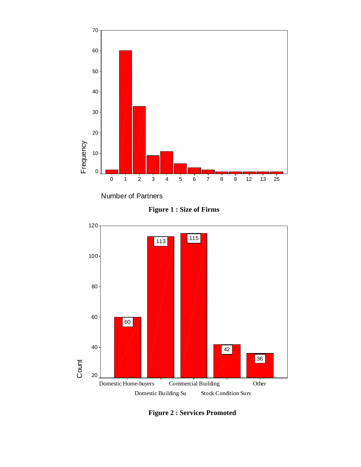

Number of Partners





**Figure 2 : Services Promoted**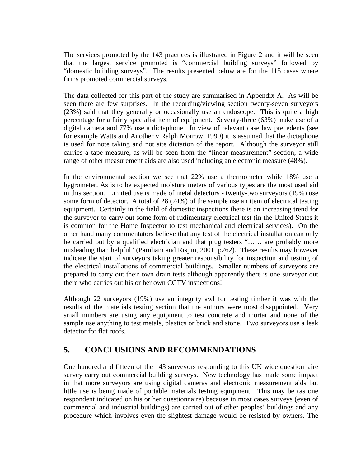The services promoted by the 143 practices is illustrated in Figure 2 and it will be seen that the largest service promoted is "commercial building surveys" followed by "domestic building surveys". The results presented below are for the 115 cases where firms promoted commercial surveys.

The data collected for this part of the study are summarised in Appendix A. As will be seen there are few surprises. In the recording/viewing section twenty-seven surveyors (23%) said that they generally or occasionally use an endoscope. This is quite a high percentage for a fairly specialist item of equipment. Seventy-three (63%) make use of a digital camera and 77% use a dictaphone. In view of relevant case law precedents (see for example Watts and Another v Ralph Morrow, 1990) it is assumed that the dictaphone is used for note taking and not site dictation of the report. Although the surveyor still carries a tape measure, as will be seen from the "linear measurement" section, a wide range of other measurement aids are also used including an electronic measure (48%).

In the environmental section we see that 22% use a thermometer while 18% use a hygrometer. As is to be expected moisture meters of various types are the most used aid in this section. Limited use is made of metal detectors - twenty-two surveyors (19%) use some form of detector. A total of 28 (24%) of the sample use an item of electrical testing equipment. Certainly in the field of domestic inspections there is an increasing trend for the surveyor to carry out some form of rudimentary electrical test (in the United States it is common for the Home Inspector to test mechanical and electrical services). On the other hand many commentators believe that any test of the electrical installation can only be carried out by a qualified electrician and that plug testers "…… are probably more misleading than helpful" (Parnham and Rispin, 2001, p262). These results may however indicate the start of surveyors taking greater responsibility for inspection and testing of the electrical installations of commercial buildings. Smaller numbers of surveyors are prepared to carry out their own drain tests although apparently there is one surveyor out there who carries out his or her own CCTV inspections!

Although 22 surveyors (19%) use an integrity awl for testing timber it was with the results of the materials testing section that the authors were most disappointed. Very small numbers are using any equipment to test concrete and mortar and none of the sample use anything to test metals, plastics or brick and stone. Two surveyors use a leak detector for flat roofs.

# **5. CONCLUSIONS AND RECOMMENDATIONS**

One hundred and fifteen of the 143 surveyors responding to this UK wide questionnaire survey carry out commercial building surveys. New technology has made some impact in that more surveyors are using digital cameras and electronic measurement aids but little use is being made of portable materials testing equipment. This may be (as one respondent indicated on his or her questionnaire) because in most cases surveys (even of commercial and industrial buildings) are carried out of other peoples' buildings and any procedure which involves even the slightest damage would be resisted by owners. The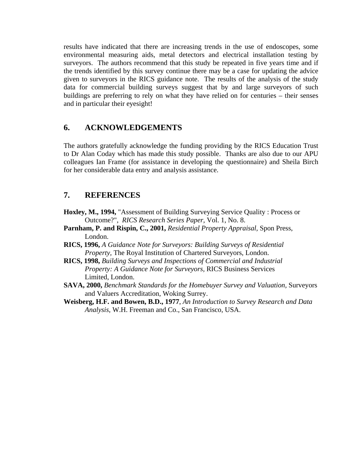results have indicated that there are increasing trends in the use of endoscopes, some environmental measuring aids, metal detectors and electrical installation testing by surveyors. The authors recommend that this study be repeated in five years time and if the trends identified by this survey continue there may be a case for updating the advice given to surveyors in the RICS guidance note. The results of the analysis of the study data for commercial building surveys suggest that by and large surveyors of such buildings are preferring to rely on what they have relied on for centuries – their senses and in particular their eyesight!

### **6. ACKNOWLEDGEMENTS**

The authors gratefully acknowledge the funding providing by the RICS Education Trust to Dr Alan Coday which has made this study possible. Thanks are also due to our APU colleagues Ian Frame (for assistance in developing the questionnaire) and Sheila Birch for her considerable data entry and analysis assistance.

## **7. REFERENCES**

- **Hoxley, M., 1994,** "Assessment of Building Surveying Service Quality : Process or Outcome?", *RICS Research Series Paper,* Vol. 1, No. 8.
- **Parnham, P. and Rispin, C., 2001,** *Residential Property Appraisal,* Spon Press, London.
- **RICS, 1996,** *A Guidance Note for Surveyors: Building Surveys of Residential Property,* The Royal Institution of Chartered Surveyors, London.
- **RICS, 1998,** *Building Surveys and Inspections of Commercial and Industrial Property: A Guidance Note for Surveyors,* RICS Business Services Limited, London.
- **SAVA, 2000,** *Benchmark Standards for the Homebuyer Survey and Valuation,* Surveyors and Valuers Accreditation, Woking Surrey.
- **Weisberg, H.F. and Bowen, B.D., 1977**, *An Introduction to Survey Research and Data Analysis*, W.H. Freeman and Co., San Francisco, USA.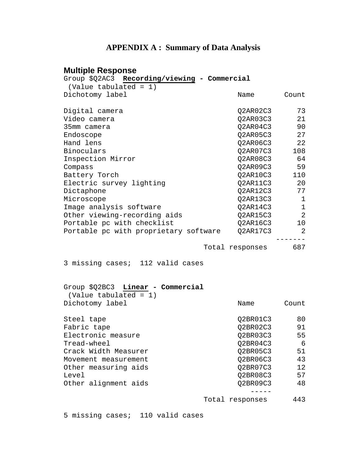# **APPENDIX A : Summary of Data Analysis**

# **Multiple Response**

| Group \$Q2AC3 Recording/viewing - Commercial |                 |              |
|----------------------------------------------|-----------------|--------------|
| $(Value tabulated = 1)$                      |                 |              |
| Dichotomy label                              | Name            | Count        |
|                                              |                 |              |
| Digital camera                               | Q2AR02C3        | 73           |
| Video camera                                 | Q2AR03C3        | 21           |
| 35mm camera                                  | Q2AR04C3        | 90           |
| Endoscope                                    | Q2AR05C3        | 27           |
| Hand lens                                    | 02AR06C3        | 22           |
| Binoculars                                   | 02AR07C3        | 108          |
| Inspection Mirror                            | 02AR08C3        | 64           |
| Compass                                      | Q2AR09C3        | 59           |
| Battery Torch                                | Q2AR10C3        | 110          |
| Electric survey lighting                     | Q2AR11C3        | 20           |
| Dictaphone                                   | 02AR12C3        | 77           |
| Microscope                                   | Q2AR13C3        | $\mathbf{1}$ |
| Image analysis software                      | O2AR14C3        | $\mathbf{1}$ |
| Other viewing-recording aids                 | 02AR15C3        | 2            |
| Portable pc with checklist                   | Q2AR16C3        | 10           |
| Portable pc with proprietary software        | Q2AR17C3        | 2            |
|                                              |                 |              |
|                                              | Total responses | 687          |
|                                              |                 |              |
| 3 missing cases; 112 valid cases             |                 |              |
|                                              |                 |              |

| Group \$Q2BC3 Linear - Commercial<br>$(Value tabulated = 1)$ |                 |       |
|--------------------------------------------------------------|-----------------|-------|
| Dichotomy label                                              | Name            | Count |
| Steel tape                                                   | Q2BR01C3        | 80    |
| Fabric tape                                                  | Q2BR02C3        | 91    |
| Electronic measure                                           | Q2BR03C3        | 55    |
| Tread-wheel                                                  | Q2BR04C3        | -6    |
| Crack Width Measurer                                         | Q2BR05C3        | 51    |
| Movement measurement                                         | 02BR06C3        | 43    |
| Other measuring aids                                         | Q2BR07C3        | 12.   |
| Leve l                                                       | Q2BR08C3        | 57    |
| Other alignment aids                                         | Q2BR09C3        | 48    |
|                                                              |                 |       |
|                                                              | Total responses | 443   |

5 missing cases; 110 valid cases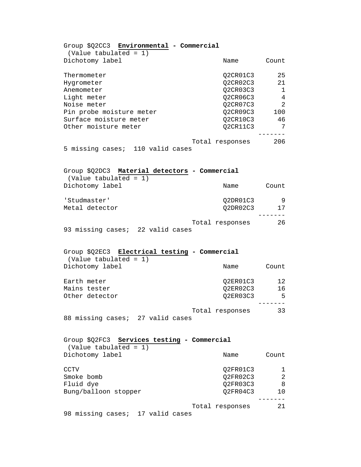| Group \$Q2CC3 Environmental - Commercial<br>$(Value tabulated = 1)$       |  |                      |                 |  |
|---------------------------------------------------------------------------|--|----------------------|-----------------|--|
| Dichotomy label                                                           |  | Name                 | Count           |  |
| Thermometer                                                               |  | Q2CR01C3             | 25              |  |
| Hygrometer                                                                |  | Q2CR02C3             | 21              |  |
| Anemometer                                                                |  | Q2CR03C3             | 1               |  |
| Light meter                                                               |  | Q2CR06C3             | $\overline{4}$  |  |
| Noise meter                                                               |  | Q2CR07C3             | -2              |  |
| Pin probe moisture meter                                                  |  | Q2CR09C3             | 100             |  |
| Surface moisture meter<br>Other moisture meter                            |  | Q2CR10C3<br>Q2CR11C3 | 46<br>7         |  |
|                                                                           |  |                      |                 |  |
|                                                                           |  | Total responses 206  |                 |  |
| 5 missing cases; 110 valid cases                                          |  |                      |                 |  |
| Group \$Q2DC3 Material detectors - Commercial                             |  |                      |                 |  |
| (Value tabulated = $1$ )                                                  |  |                      |                 |  |
| Dichotomy label                                                           |  | Name                 | Count           |  |
| 'Studmaster'                                                              |  | Q2DR01C3             | - 9             |  |
| Metal detector                                                            |  | Q2DR02C3             | 17              |  |
|                                                                           |  |                      |                 |  |
| 93 missing cases; 22 valid cases                                          |  | Total responses      | 26              |  |
|                                                                           |  |                      |                 |  |
|                                                                           |  |                      |                 |  |
| Group \$Q2EC3 Electrical testing - Commercial<br>(Value tabulated = $1$ ) |  |                      |                 |  |
| Dichotomy label                                                           |  | Name                 | Count           |  |
|                                                                           |  |                      |                 |  |
| Earth meter                                                               |  | Q2ER01C3             | 12 <sup>°</sup> |  |
| Mains tester                                                              |  | Q2ER02C3             | 16              |  |
| Other detector                                                            |  | Q2ER03C3             | 5               |  |
|                                                                           |  |                      |                 |  |
|                                                                           |  | Total responses      | 33              |  |
| 88 missing cases; 27 valid cases                                          |  |                      |                 |  |
|                                                                           |  |                      |                 |  |
| Group \$Q2FC3 Services testing - Commercial                               |  |                      |                 |  |
| $(Value tabulated = 1)$                                                   |  |                      |                 |  |
| Dichotomy label                                                           |  | Name                 | Count           |  |
| <b>CCTV</b>                                                               |  | Q2FR01C3             | ı,              |  |
| Smoke bomb                                                                |  | Q2FR02C3             | 2               |  |
| Fluid dye                                                                 |  | Q2FR03C3             | 8               |  |
| Bung/balloon stopper                                                      |  | Q2FR04C3             | 10              |  |
|                                                                           |  |                      |                 |  |
| 98 missing cases; 17 valid cases                                          |  | Total responses      | 21              |  |
|                                                                           |  |                      |                 |  |